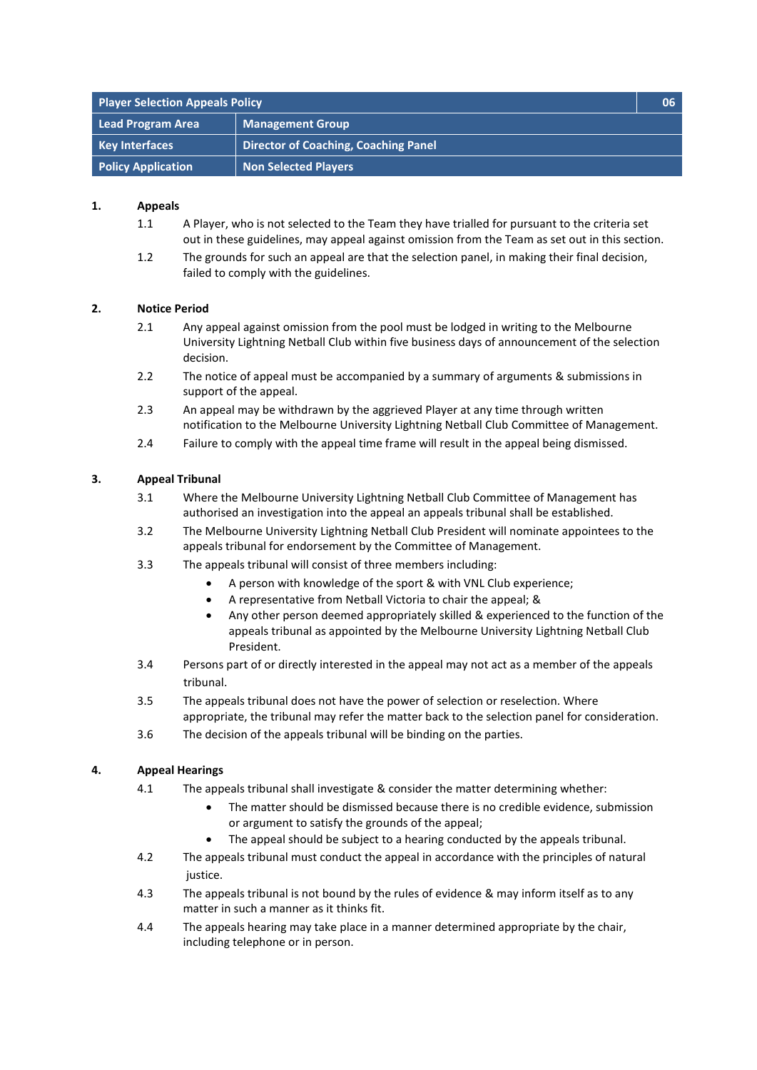| <b>Player Selection Appeals Policy</b> |                                             | 06 |
|----------------------------------------|---------------------------------------------|----|
| Lead Program Area                      | <b>Management Group</b>                     |    |
| <b>Key Interfaces</b>                  | <b>Director of Coaching, Coaching Panel</b> |    |
| <b>Policy Application</b>              | <b>Non Selected Players</b>                 |    |

## **1. Appeals**

- 1.1 A Player, who is not selected to the Team they have trialled for pursuant to the criteria set out in these guidelines, may appeal against omission from the Team as set out in this section.
- 1.2 The grounds for such an appeal are that the selection panel, in making their final decision, failed to comply with the guidelines.

## **2. Notice Period**

- 2.1 Any appeal against omission from the pool must be lodged in writing to the Melbourne University Lightning Netball Club within five business days of announcement of the selection decision.
- 2.2 The notice of appeal must be accompanied by a summary of arguments & submissions in support of the appeal.
- 2.3 An appeal may be withdrawn by the aggrieved Player at any time through written notification to the Melbourne University Lightning Netball Club Committee of Management.
- 2.4 Failure to comply with the appeal time frame will result in the appeal being dismissed.

## **3. Appeal Tribunal**

- 3.1 Where the Melbourne University Lightning Netball Club Committee of Management has authorised an investigation into the appeal an appeals tribunal shall be established.
- 3.2 The Melbourne University Lightning Netball Club President will nominate appointees to the appeals tribunal for endorsement by the Committee of Management.
- 3.3 The appeals tribunal will consist of three members including:
	- A person with knowledge of the sport & with VNL Club experience;
	- A representative from Netball Victoria to chair the appeal; &
	- Any other person deemed appropriately skilled & experienced to the function of the appeals tribunal as appointed by the Melbourne University Lightning Netball Club President.
- 3.4 Persons part of or directly interested in the appeal may not act as a member of the appeals tribunal.
- 3.5 The appeals tribunal does not have the power of selection or reselection. Where appropriate, the tribunal may refer the matter back to the selection panel for consideration.
- 3.6 The decision of the appeals tribunal will be binding on the parties.

## **4. Appeal Hearings**

- 4.1 The appeals tribunal shall investigate & consider the matter determining whether:
	- The matter should be dismissed because there is no credible evidence, submission or argument to satisfy the grounds of the appeal;
	- The appeal should be subject to a hearing conducted by the appeals tribunal.
- 4.2 The appeals tribunal must conduct the appeal in accordance with the principles of natural justice.
- 4.3 The appeals tribunal is not bound by the rules of evidence & may inform itself as to any matter in such a manner as it thinks fit.
- 4.4 The appeals hearing may take place in a manner determined appropriate by the chair, including telephone or in person.